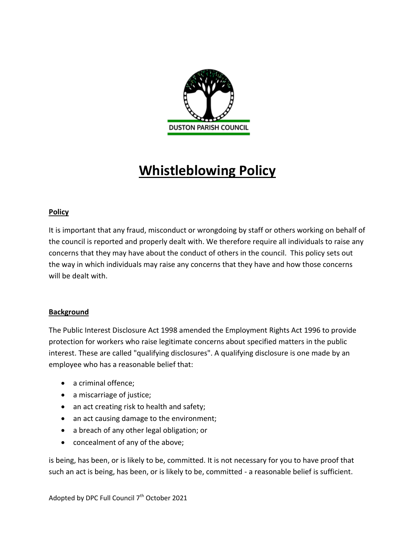

# **Whistleblowing Policy**

## **Policy**

It is important that any fraud, misconduct or wrongdoing by staff or others working on behalf of the council is reported and properly dealt with. We therefore require all individuals to raise any concerns that they may have about the conduct of others in the council. This policy sets out the way in which individuals may raise any concerns that they have and how those concerns will be dealt with.

## **Background**

The Public Interest Disclosure Act 1998 amended the Employment Rights Act 1996 to provide protection for workers who raise legitimate concerns about specified matters in the public interest. These are called "qualifying disclosures". A qualifying disclosure is one made by an employee who has a reasonable belief that:

- a criminal offence;
- a miscarriage of justice;
- an act creating risk to health and safety;
- an act causing damage to the environment;
- a breach of any other legal obligation; or
- concealment of any of the above;

is being, has been, or is likely to be, committed. It is not necessary for you to have proof that such an act is being, has been, or is likely to be, committed - a reasonable belief is sufficient.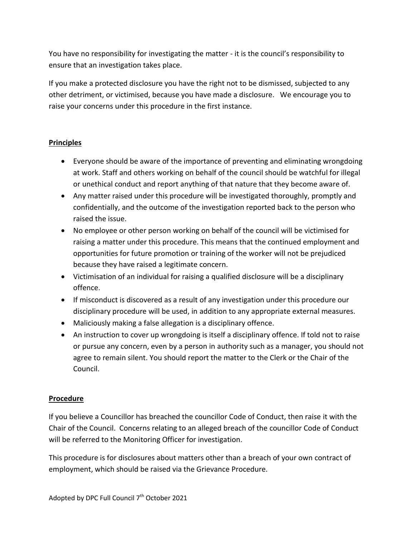You have no responsibility for investigating the matter - it is the council's responsibility to ensure that an investigation takes place.

If you make a protected disclosure you have the right not to be dismissed, subjected to any other detriment, or victimised, because you have made a disclosure. We encourage you to raise your concerns under this procedure in the first instance.

## **Principles**

- Everyone should be aware of the importance of preventing and eliminating wrongdoing at work. Staff and others working on behalf of the council should be watchful for illegal or unethical conduct and report anything of that nature that they become aware of.
- Any matter raised under this procedure will be investigated thoroughly, promptly and confidentially, and the outcome of the investigation reported back to the person who raised the issue.
- No employee or other person working on behalf of the council will be victimised for raising a matter under this procedure. This means that the continued employment and opportunities for future promotion or training of the worker will not be prejudiced because they have raised a legitimate concern.
- Victimisation of an individual for raising a qualified disclosure will be a disciplinary offence.
- If misconduct is discovered as a result of any investigation under this procedure our disciplinary procedure will be used, in addition to any appropriate external measures.
- Maliciously making a false allegation is a disciplinary offence.
- An instruction to cover up wrongdoing is itself a disciplinary offence. If told not to raise or pursue any concern, even by a person in authority such as a manager, you should not agree to remain silent. You should report the matter to the Clerk or the Chair of the Council.

## **Procedure**

If you believe a Councillor has breached the councillor Code of Conduct, then raise it with the Chair of the Council. Concerns relating to an alleged breach of the councillor Code of Conduct will be referred to the Monitoring Officer for investigation.

This procedure is for disclosures about matters other than a breach of your own contract of employment, which should be raised via the Grievance Procedure.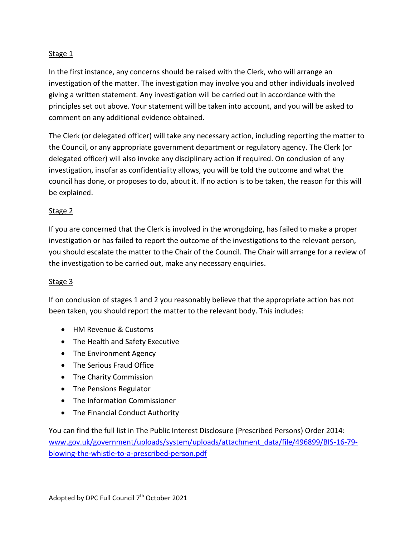## Stage 1

In the first instance, any concerns should be raised with the Clerk, who will arrange an investigation of the matter. The investigation may involve you and other individuals involved giving a written statement. Any investigation will be carried out in accordance with the principles set out above. Your statement will be taken into account, and you will be asked to comment on any additional evidence obtained.

The Clerk (or delegated officer) will take any necessary action, including reporting the matter to the Council, or any appropriate government department or regulatory agency. The Clerk (or delegated officer) will also invoke any disciplinary action if required. On conclusion of any investigation, insofar as confidentiality allows, you will be told the outcome and what the council has done, or proposes to do, about it. If no action is to be taken, the reason for this will be explained.

#### Stage 2

If you are concerned that the Clerk is involved in the wrongdoing, has failed to make a proper investigation or has failed to report the outcome of the investigations to the relevant person, you should escalate the matter to the Chair of the Council. The Chair will arrange for a review of the investigation to be carried out, make any necessary enquiries.

#### Stage 3

If on conclusion of stages 1 and 2 you reasonably believe that the appropriate action has not been taken, you should report the matter to the relevant body. This includes:

- HM Revenue & Customs
- The Health and Safety Executive
- The Environment Agency
- The Serious Fraud Office
- The Charity Commission
- The Pensions Regulator
- The Information Commissioner
- The Financial Conduct Authority

You can find the full list in The Public Interest Disclosure (Prescribed Persons) Order 2014: [www.gov.uk/government/uploads/system/uploads/attachment\\_data/file/496899/BIS-16-79](http://www.gov.uk/government/uploads/system/uploads/attachment_data/file/496899/BIS-16-79-blowing-the-whistle-to-a-prescribed-person.pdf) [blowing-the-whistle-to-a-prescribed-person.pdf](http://www.gov.uk/government/uploads/system/uploads/attachment_data/file/496899/BIS-16-79-blowing-the-whistle-to-a-prescribed-person.pdf)